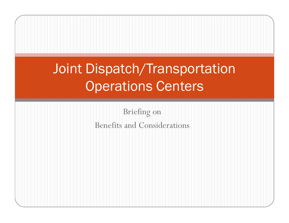# Joint Dispatch/Transportation Operations Centers

Briefing on Benefits and Considerations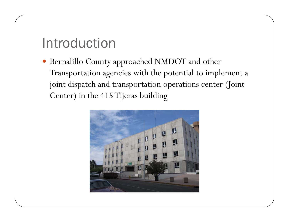### Introduction

 Bernalillo County approached NMDOT and other Transportation agencies with the potential to implement a joint dispatch and transportation operations center (Joint Center) in the 415 Tijeras building

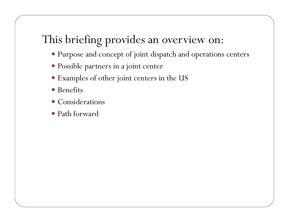#### This briefing provides an overview on:

- Purpose and concept of joint dispatch and operations centers
- · Possible partners in a joint center
- Examples of other joint centers in the US
- Benefits
- Considerations
- Path forward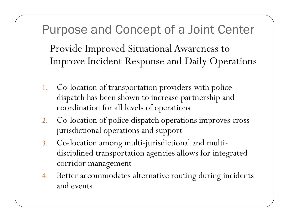Purpose and Concept of a Joint Center Provide Improved Situational Awareness to Improve Incident Response and Daily Operations

- 1. Co-location of transportation providers with police dispatch has been shown to increase partnership and coordination for all levels of operations
- 2. Co-location of police dispatch operations improves crossjurisdictional operations and suppor t
- 3. Co-location among multi-jurisdictional and multidisciplined transportation agencies allows for integrated corridor management
- 4. Better accommodates alternative routing during incidents and events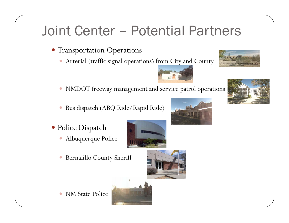### Joint Center – Potential Partners

- Transportation Operations
	- Arterial (traffic signal operations) from City and County



- $\bullet$ Bus dispatch (ABQ Ride/Rapid Ride)
- Police Dispatch

 $\bullet$ 

- Albuquerque Police
- $\bullet$ Bernalillo County Sheriff









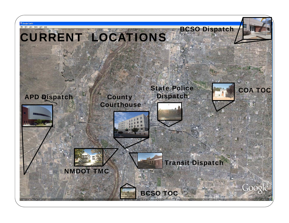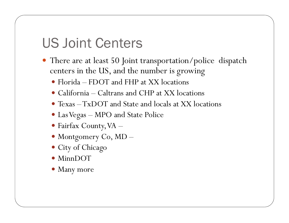### US Joint Centers

- There are at least 50 Joint transportation/police dispatch centers in the US, and the number is growing
	- Florida FDOT and FHP at XX locations
	- California Caltrans and CHP at XX locations
	- Texas TxDOT and State and locals at XX locations
	- Las Vegas MPO and State Police
	- Fairfax County, VA  $\sim$
	- Montgomery Co, MD –
	- City of Chicago
	- MinnDOT
	- Many more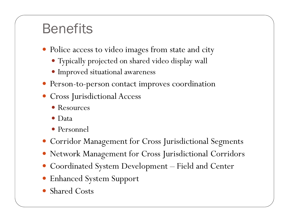### **Benefits**

- Police access to video images from state and city
	- Typically projected on shared video display wall
	- · Improved situational awareness
- Person-to-person contact improves coordination
- Cross Jurisdictional Access
	- Resources
	- Data
	- Personnel
- Corridor Management for Cross Jurisdictional Segments
- Network Management for Cross Jurisdictional Corridors
- Coordinated System Development Field and Center
- Enhanced System Support
- Shared Costs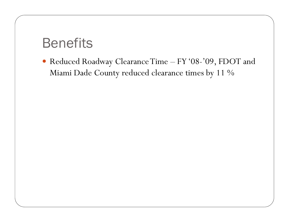#### **Benefits**

 Reduced Roadway Clearance Time – FY '08-'09, FDOT and Miami Dade County reduced clearance times by 11 %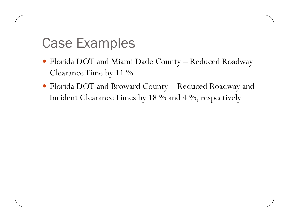### Case Examples

- Florida DOT and Miami Dade County Reduced Roadway Clearance Time by 11 %
- Florida DOT and Broward County Reduced Roadway and Incident Clearance Times by 18 % and 4 %, respectively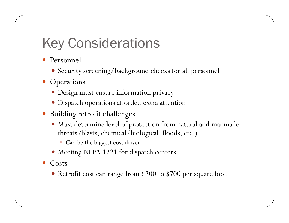## Key Considerations

- Personnel
	- Security screening/background checks for all personnel
- Operations
	- Design must ensure information privacy
	- Dispatch operations afforded extra attention
- Building retrofit challenges
	- Must determine level of protection from natural and manmade threats (blasts, chemical/biological, floods, etc.)
		- Can be the biggest cost driver
	- Meeting NFPA 1221 for dispatch centers
- $\bullet$  Costs
	- Retrofit cost can range from \$200 to \$700 per square foot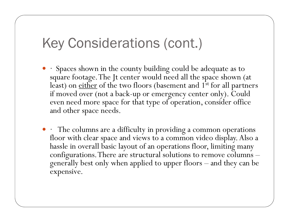#### Key Considerations (cont.)

- · Spaces shown in the county building could be adequate as to square footage. The Jt center would need all the space shown (at least) on either of the two floors (basement and 1<sup>st</sup> for all partners if moved over (not a back-up or emergency center only). Could even need more space for that type of operation, consider office and other space needs.
- · The columns are a difficulty in providing a common operations floor with clear space and views to a common video display. Also a hassle in overall basic layout of an operations floor, limiting many configurations. There are structural solutions to remove columns – generally best only when applied to upper floors – and they can be expensive.